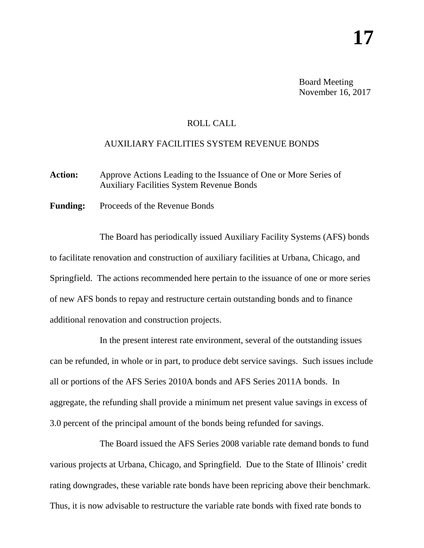Board Meeting November 16, 2017

## ROLL CALL

## AUXILIARY FACILITIES SYSTEM REVENUE BONDS

Action: Approve Actions Leading to the Issuance of One or More Series of Auxiliary Facilities System Revenue Bonds

**Funding:** Proceeds of the Revenue Bonds

The Board has periodically issued Auxiliary Facility Systems (AFS) bonds to facilitate renovation and construction of auxiliary facilities at Urbana, Chicago, and Springfield. The actions recommended here pertain to the issuance of one or more series of new AFS bonds to repay and restructure certain outstanding bonds and to finance additional renovation and construction projects.

In the present interest rate environment, several of the outstanding issues can be refunded, in whole or in part, to produce debt service savings. Such issues include all or portions of the AFS Series 2010A bonds and AFS Series 2011A bonds. In aggregate, the refunding shall provide a minimum net present value savings in excess of 3.0 percent of the principal amount of the bonds being refunded for savings.

The Board issued the AFS Series 2008 variable rate demand bonds to fund various projects at Urbana, Chicago, and Springfield. Due to the State of Illinois' credit rating downgrades, these variable rate bonds have been repricing above their benchmark. Thus, it is now advisable to restructure the variable rate bonds with fixed rate bonds to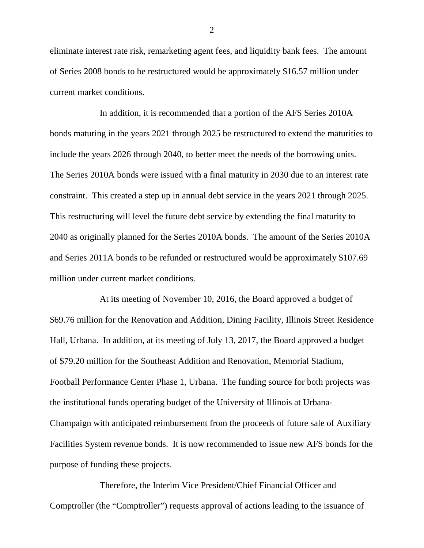eliminate interest rate risk, remarketing agent fees, and liquidity bank fees. The amount of Series 2008 bonds to be restructured would be approximately \$16.57 million under current market conditions.

In addition, it is recommended that a portion of the AFS Series 2010A bonds maturing in the years 2021 through 2025 be restructured to extend the maturities to include the years 2026 through 2040, to better meet the needs of the borrowing units. The Series 2010A bonds were issued with a final maturity in 2030 due to an interest rate constraint. This created a step up in annual debt service in the years 2021 through 2025. This restructuring will level the future debt service by extending the final maturity to 2040 as originally planned for the Series 2010A bonds. The amount of the Series 2010A and Series 2011A bonds to be refunded or restructured would be approximately \$107.69 million under current market conditions.

At its meeting of November 10, 2016, the Board approved a budget of \$69.76 million for the Renovation and Addition, Dining Facility, Illinois Street Residence Hall, Urbana. In addition, at its meeting of July 13, 2017, the Board approved a budget of \$79.20 million for the Southeast Addition and Renovation, Memorial Stadium, Football Performance Center Phase 1, Urbana. The funding source for both projects was the institutional funds operating budget of the University of Illinois at Urbana-Champaign with anticipated reimbursement from the proceeds of future sale of Auxiliary Facilities System revenue bonds. It is now recommended to issue new AFS bonds for the purpose of funding these projects.

Therefore, the Interim Vice President/Chief Financial Officer and Comptroller (the "Comptroller") requests approval of actions leading to the issuance of

2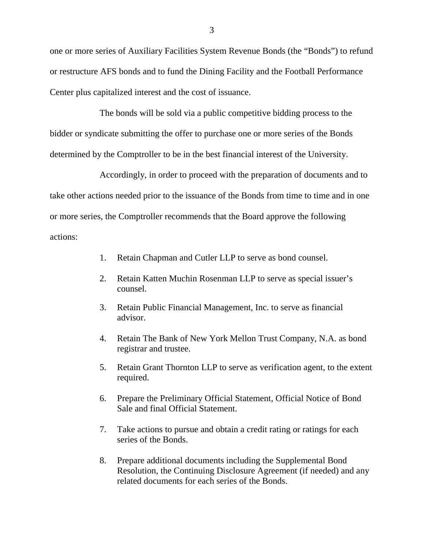one or more series of Auxiliary Facilities System Revenue Bonds (the "Bonds") to refund or restructure AFS bonds and to fund the Dining Facility and the Football Performance Center plus capitalized interest and the cost of issuance.

The bonds will be sold via a public competitive bidding process to the bidder or syndicate submitting the offer to purchase one or more series of the Bonds determined by the Comptroller to be in the best financial interest of the University.

Accordingly, in order to proceed with the preparation of documents and to take other actions needed prior to the issuance of the Bonds from time to time and in one or more series, the Comptroller recommends that the Board approve the following actions:

- 1. Retain Chapman and Cutler LLP to serve as bond counsel.
- 2. Retain Katten Muchin Rosenman LLP to serve as special issuer's counsel.
- 3. Retain Public Financial Management, Inc. to serve as financial advisor.
- 4. Retain The Bank of New York Mellon Trust Company, N.A. as bond registrar and trustee.
- 5. Retain Grant Thornton LLP to serve as verification agent, to the extent required.
- 6. Prepare the Preliminary Official Statement, Official Notice of Bond Sale and final Official Statement.
- 7. Take actions to pursue and obtain a credit rating or ratings for each series of the Bonds.
- 8. Prepare additional documents including the Supplemental Bond Resolution, the Continuing Disclosure Agreement (if needed) and any related documents for each series of the Bonds.